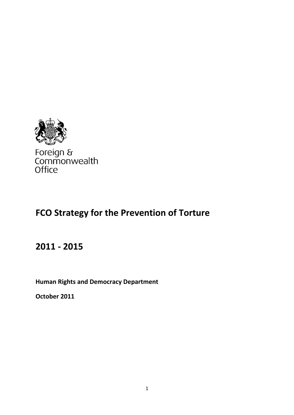

Foreign &<br>Commonwealth<br>Office

# **FCO Strategy for the Prevention of Torture**

# **2011 - 2015**

**Human Rights and Democracy Department**

**October 2011**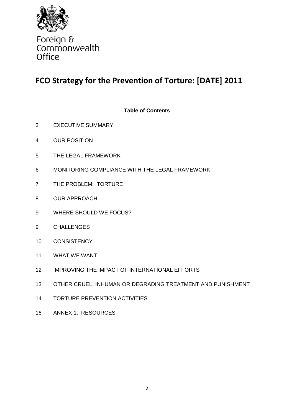

Foreign &<br>Commonwealth Office

# **FCO Strategy for the Prevention of Torture: [DATE] 2011**

# **Table of Contents**

- EXECUTIVE SUMMARY
- OUR POSITION
- THE LEGAL FRAMEWORK
- MONITORING COMPLIANCE WITH THE LEGAL FRAMEWORK
- THE PROBLEM: TORTURE
- OUR APPROACH
- WHERE SHOULD WE FOCUS?
- CHALLENGES
- CONSISTENCY
- WHAT WE WANT
- IMPROVING THE IMPACT OF INTERNATIONAL EFFORTS
- OTHER CRUEL, INHUMAN OR DEGRADING TREATMENT AND PUNISHMENT
- TORTURE PREVENTION ACTIVITIES
- ANNEX 1: RESOURCES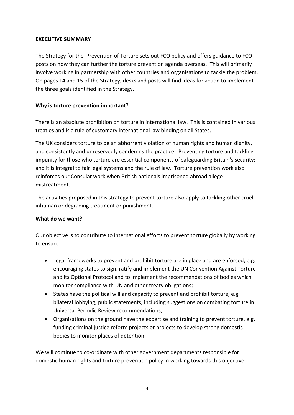### **EXECUTIVE SUMMARY**

The Strategy for the Prevention of Torture sets out FCO policy and offers guidance to FCO posts on how they can further the torture prevention agenda overseas. This will primarily involve working in partnership with other countries and organisations to tackle the problem. On pages 14 and 15 of the Strategy, desks and posts will find ideas for action to implement the three goals identified in the Strategy.

## **Why is torture prevention important?**

There is an absolute prohibition on torture in international law. This is contained in various treaties and is a rule of customary international law binding on all States.

The UK considers torture to be an abhorrent violation of human rights and human dignity, and consistently and unreservedly condemns the practice. Preventing torture and tackling impunity for those who torture are essential components of safeguarding Britain's security; and it is integral to fair legal systems and the rule of law. Torture prevention work also reinforces our Consular work when British nationals imprisoned abroad allege mistreatment.

The activities proposed in this strategy to prevent torture also apply to tackling other cruel, inhuman or degrading treatment or punishment.

### **What do we want?**

Our objective is to contribute to international efforts to prevent torture globally by working to ensure

- Legal frameworks to prevent and prohibit torture are in place and are enforced, e.g. encouraging states to sign, ratify and implement the UN Convention Against Torture and its Optional Protocol and to implement the recommendations of bodies which monitor compliance with UN and other treaty obligations;
- States have the political will and capacity to prevent and prohibit torture, e.g. bilateral lobbying, public statements, including suggestions on combating torture in Universal Periodic Review recommendations;
- Organisations on the ground have the expertise and training to prevent torture, e.g. funding criminal justice reform projects or projects to develop strong domestic bodies to monitor places of detention.

We will continue to co-ordinate with other government departments responsible for domestic human rights and torture prevention policy in working towards this objective.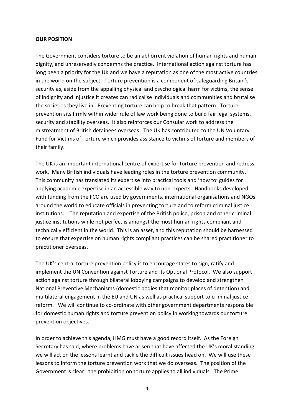#### **OUR POSITION**

The Government considers torture to be an abhorrent violation of human rights and human dignity, and unreservedly condemns the practice. International action against torture has long been a priority for the UK and we have a reputation as one of the most active countries in the world on the subject. Torture prevention is a component of safeguarding Britain's security as, aside from the appalling physical and psychological harm for victims, the sense of indignity and injustice it creates can radicalise individuals and communities and brutalise the societies they live in. Preventing torture can help to break that pattern. Torture prevention sits firmly within wider rule of law work being done to build fair legal systems, security and stability overseas. It also reinforces our Consular work to address the mistreatment of British detainees overseas. The UK has contributed to the UN Voluntary Fund for Victims of Torture which provides assistance to victims of torture and members of their family.

The UK is an important international centre of expertise for torture prevention and redress work. Many British individuals have leading roles in the torture prevention community. This community has translated its expertise into practical tools and 'how to' guides for applying academic expertise in an accessible way to non-experts. Handbooks developed with funding from the FCO are used by governments, international organisations and NGOs around the world to educate officials in preventing torture and to reform criminal justice institutions. The reputation and expertise of the British police, prison and other criminal justice institutions while not perfect is amongst the most human rights compliant and technically efficient in the world. This is an asset, and this reputation should be harnessed to ensure that expertise on human rights compliant practices can be shared practitioner to practitioner overseas.

The UK's central torture prevention policy is to encourage states to sign, ratify and implement the UN Convention against Torture and its Optional Protocol. We also support action against torture through bilateral lobbying campaigns to develop and strengthen National Preventive Mechanisms (domestic bodies that monitor places of detention) and multilateral engagement in the EU and UN as well as practical support to criminal justice reform. We will continue to co-ordinate with other government departments responsible for domestic human rights and torture prevention policy in working towards our torture prevention objectives.

In order to achieve this agenda, HMG must have a good record itself. As the Foreign Secretary has said, where problems have arisen that have affected the UK's moral standing we will act on the lessons learnt and tackle the difficult issues head on. We will use these lessons to inform the torture prevention work that we do overseas. The position of the Government is clear: the prohibition on torture applies to all individuals. The Prime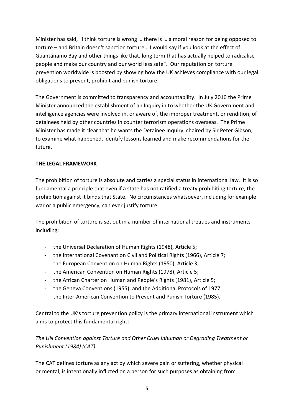Minister has said, "I think torture is wrong … there is … a moral reason for being opposed to torture – and Britain doesn't sanction torture… I would say if you look at the effect of Guantánamo Bay and other things like that, long term that has actually helped to radicalise people and make our country and our world less safe". Our reputation on torture prevention worldwide is boosted by showing how the UK achieves compliance with our legal obligations to prevent, prohibit and punish torture.

The Government is committed to transparency and accountability. In July 2010 the Prime Minister announced the establishment of an Inquiry in to whether the UK Government and intelligence agencies were involved in, or aware of, the improper treatment, or rendition, of detainees held by other countries in counter terrorism operations overseas. The Prime Minister has made it clear that he wants the Detainee Inquiry, chaired by Sir Peter Gibson, to examine what happened, identify lessons learned and make recommendations for the future.

### **THE LEGAL FRAMEWORK**

The prohibition of torture is absolute and carries a special status in international law. It is so fundamental a principle that even if a state has not ratified a treaty prohibiting torture, the prohibition against it binds that State. No circumstances whatsoever, including for example war or a public emergency, can ever justify torture.

The prohibition of torture is set out in a number of international treaties and instruments including:

- the Universal Declaration of Human Rights (1948), Article 5;
- the International Covenant on Civil and Political Rights (1966), Article 7;
- the European Convention on Human Rights (1950), Article 3;
- the American Convention on Human Rights (1978), Article 5;
- the African Charter on Human and People's Rights (1981), Article 5;
- the Geneva Conventions (1955); and the Additional Protocols of 1977
- the Inter-American Convention to Prevent and Punish Torture (1985).

Central to the UK's torture prevention policy is the primary international instrument which aims to protect this fundamental right:

# *The UN Convention against Torture and Other Cruel Inhuman or Degrading Treatment or Punishment (1984) (CAT)*

The CAT defines torture as any act by which severe pain or suffering, whether physical or mental, is intentionally inflicted on a person for such purposes as obtaining from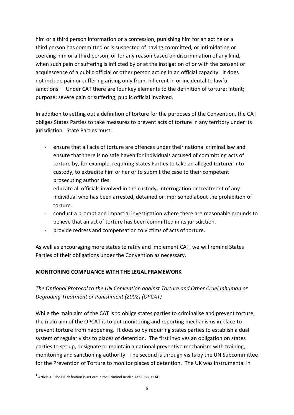him or a third person information or a confession, punishing him for an act he or a third person has committed or is suspected of having committed, or intimidating or coercing him or a third person, or for any reason based on discrimination of any kind, when such pain or suffering is inflicted by or at the instigation of or with the consent or acquiescence of a public official or other person acting in an official capacity. It does not include pain or suffering arising only from, inherent in or incidental to lawful sanctions.  $^1$  Under CAT there are four key elements to the definition of torture: intent; purpose; severe pain or suffering; public official involved.

In addition to setting out a definition of torture for the purposes of the Convention, the CAT obliges States Parties to take measures to prevent acts of torture in any territory under its jurisdiction. State Parties must:

- ensure that all acts of torture are offences under their national criminal law and ensure that there is no safe haven for individuals accused of committing acts of torture by, for example, requiring States Parties to take an alleged torturer into custody, to extradite him or her or to submit the case to their competent prosecuting authorities.
- educate all officials involved in the custody, interrogation or treatment of any individual who has been arrested, detained or imprisoned about the prohibition of torture.
- conduct a prompt and impartial investigation where there are reasonable grounds to believe that an act of torture has been committed in its jurisdiction.
- provide redress and compensation to victims of acts of torture.

As well as encouraging more states to ratify and implement CAT, we will remind States Parties of their obligations under the Convention as necessary.

# **MONITORING COMPLIANCE WITH THE LEGAL FRAMEWORK**

*The Optional Protocol to the UN Convention against Torture and Other Cruel Inhuman or Degrading Treatment or Punishment (2002) (OPCAT)*

While the main aim of the CAT is to oblige states parties to criminalise and prevent torture, the main aim of the OPCAT is to put monitoring and reporting mechanisms in place to prevent torture from happening. It does so by requiring states parties to establish a dual system of regular visits to places of detention. The first involves an obligation on states parties to set up, designate or maintain a national preventive mechanism with training, monitoring and sanctioning authority. The second is through visits by the UN Subcommittee for the Prevention of Torture to monitor places of detention. The UK was instrumental in

**.** 

 $^1$  Article 1. The UK definition is set out in the Criminal Justice Act 1988, s134.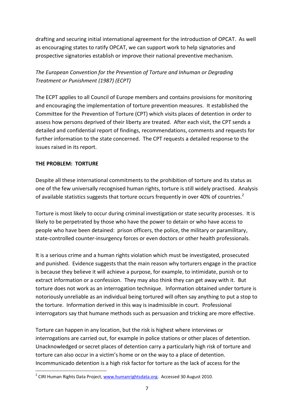drafting and securing initial international agreement for the introduction of OPCAT. As well as encouraging states to ratify OPCAT, we can support work to help signatories and prospective signatories establish or improve their national preventive mechanism.

# *The European Convention for the Prevention of Torture and Inhuman or Degrading Treatment or Punishment (1987) (ECPT)*

The ECPT applies to all Council of Europe members and contains provisions for monitoring and encouraging the implementation of torture prevention measures. It established the Committee for the Prevention of Torture (CPT) which visits places of detention in order to assess how persons deprived of their liberty are treated. After each visit, the CPT sends a detailed and confidential report of findings, recommendations, comments and requests for further information to the state concerned. The CPT requests a detailed response to the issues raised in its report.

## **THE PROBLEM: TORTURE**

**.** 

Despite all these international commitments to the prohibition of torture and its status as one of the few universally recognised human rights, torture is still widely practised. Analysis of available statistics suggests that torture occurs frequently in over 40% of countries.<sup>2</sup>

Torture is most likely to occur during criminal investigation or state security processes. It is likely to be perpetrated by those who have the power to detain or who have access to people who have been detained: prison officers, the police, the military or paramilitary, state-controlled counter-insurgency forces or even doctors or other health professionals.

It is a serious crime and a human rights violation which must be investigated, prosecuted and punished. Evidence suggests that the main reason why torturers engage in the practice is because they believe it will achieve a purpose, for example, to intimidate, punish or to extract information or a confession. They may also think they can get away with it. But torture does not work as an interrogation technique. Information obtained under torture is notoriously unreliable as an individual being tortured will often say anything to put a stop to the torture. Information derived in this way is inadmissible in court. Professional interrogators say that humane methods such as persuasion and tricking are more effective.

Torture can happen in any location, but the risk is highest where interviews or interrogations are carried out, for example in police stations or other places of detention. Unacknowledged or secret places of detention carry a particularly high risk of torture and torture can also occur in a victim's home or on the way to a place of detention. Incommunicado detention is a high risk factor for torture as the lack of access for the

<sup>&</sup>lt;sup>2</sup> CIRI Human Rights Data Project[, www.humanrightsdata.org.](http://www.humanrightsdata.org/) Accessed 30 August 2010.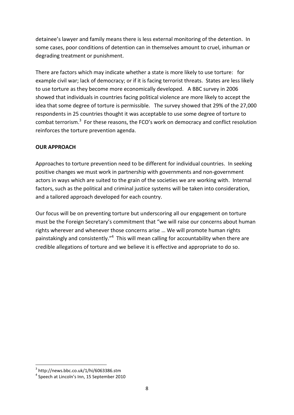detainee's lawyer and family means there is less external monitoring of the detention. In some cases, poor conditions of detention can in themselves amount to cruel, inhuman or degrading treatment or punishment.

There are factors which may indicate whether a state is more likely to use torture: for example civil war; lack of democracy; or if it is facing terrorist threats. States are less likely to use torture as they become more economically developed. A BBC survey in 2006 showed that individuals in countries facing political violence are more likely to accept the idea that some degree of torture is permissible. The survey showed that 29% of the 27,000 respondents in 25 countries thought it was acceptable to use some degree of torture to combat terrorism.<sup>3</sup> For these reasons, the FCO's work on democracy and conflict resolution reinforces the torture prevention agenda.

### **OUR APPROACH**

Approaches to torture prevention need to be different for individual countries. In seeking positive changes we must work in partnership with governments and non-government actors in ways which are suited to the grain of the societies we are working with. Internal factors, such as the political and criminal justice systems will be taken into consideration, and a tailored approach developed for each country.

Our focus will be on preventing torture but underscoring all our engagement on torture must be the Foreign Secretary's commitment that "we will raise our concerns about human rights wherever and whenever those concerns arise … We will promote human rights painstakingly and consistently."<sup>4</sup> This will mean calling for accountability when there are credible allegations of torture and we believe it is effective and appropriate to do so.

1

<sup>3</sup> http://news.bbc.co.uk/1/hi/6063386.stm

<sup>&</sup>lt;sup>4</sup> Speech at Lincoln's Inn, 15 September 2010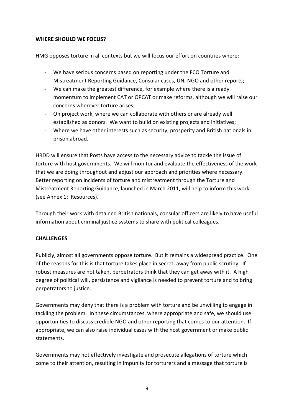#### **WHERE SHOULD WE FOCUS?**

HMG opposes torture in all contexts but we will focus our effort on countries where:

- We have serious concerns based on reporting under the FCO Torture and Mistreatment Reporting Guidance, Consular cases, UN, NGO and other reports;
- We can make the greatest difference, for example where there is already momentum to implement CAT or OPCAT or make reforms, although we will raise our concerns wherever torture arises;
- On project work, where we can collaborate with others or are already well established as donors. We want to build on existing projects and initiatives;
- Where we have other interests such as security, prosperity and British nationals in prison abroad.

HRDD will ensure that Posts have access to the necessary advice to tackle the issue of torture with host governments. We will monitor and evaluate the effectiveness of the work that we are doing throughout and adjust our approach and priorities where necessary. Better reporting on incidents of torture and mistreatment through the Torture and Mistreatment Reporting Guidance, launched in March 2011, will help to inform this work (see Annex 1: Resources).

Through their work with detained British nationals, consular officers are likely to have useful information about criminal justice systems to share with political colleagues.

### **CHALLENGES**

Publicly, almost all governments oppose torture. But it remains a widespread practice. One of the reasons for this is that torture takes place in secret, away from public scrutiny. If robust measures are not taken, perpetrators think that they can get away with it. A high degree of political will, persistence and vigilance is needed to prevent torture and to bring perpetrators to justice.

Governments may deny that there is a problem with torture and be unwilling to engage in tackling the problem. In these circumstances, where appropriate and safe, we should use opportunities to discuss credible NGO and other reporting that comes to our attention. If appropriate, we can also raise individual cases with the host government or make public statements.

Governments may not effectively investigate and prosecute allegations of torture which come to their attention, resulting in impunity for torturers and a message that torture is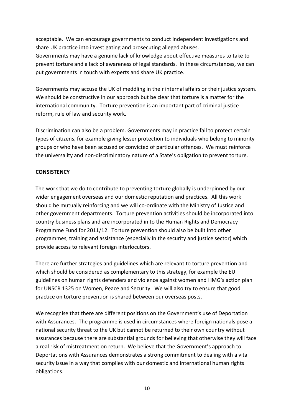acceptable. We can encourage governments to conduct independent investigations and share UK practice into investigating and prosecuting alleged abuses. Governments may have a genuine lack of knowledge about effective measures to take to prevent torture and a lack of awareness of legal standards. In these circumstances, we can put governments in touch with experts and share UK practice.

Governments may accuse the UK of meddling in their internal affairs or their justice system. We should be constructive in our approach but be clear that torture is a matter for the international community. Torture prevention is an important part of criminal justice reform, rule of law and security work.

Discrimination can also be a problem. Governments may in practice fail to protect certain types of citizens, for example giving lesser protection to individuals who belong to minority groups or who have been accused or convicted of particular offences. We must reinforce the universality and non-discriminatory nature of a State's obligation to prevent torture.

## **CONSISTENCY**

The work that we do to contribute to preventing torture globally is underpinned by our wider engagement overseas and our domestic reputation and practices. All this work should be mutually reinforcing and we will co-ordinate with the Ministry of Justice and other government departments. Torture prevention activities should be incorporated into country business plans and are incorporated in to the Human Rights and Democracy Programme Fund for 2011/12. Torture prevention should also be built into other programmes, training and assistance (especially in the security and justice sector) which provide access to relevant foreign interlocutors.

There are further strategies and guidelines which are relevant to torture prevention and which should be considered as complementary to this strategy, for example the EU guidelines on human rights defenders and violence against women and HMG's action plan for UNSCR 1325 on Women, Peace and Security. We will also try to ensure that good practice on torture prevention is shared between our overseas posts.

We recognise that there are different positions on the Government's use of Deportation with Assurances. The programme is used in circumstances where foreign nationals pose a national security threat to the UK but cannot be returned to their own country without assurances because there are substantial grounds for believing that otherwise they will face a real risk of mistreatment on return. We believe that the Government's approach to Deportations with Assurances demonstrates a strong commitment to dealing with a vital security issue in a way that complies with our domestic and international human rights obligations.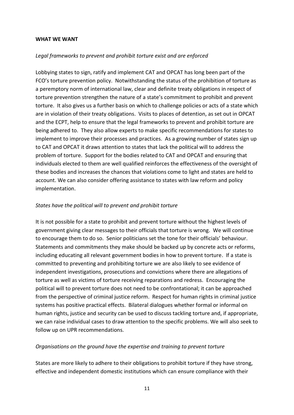#### **WHAT WE WANT**

#### *Legal frameworks to prevent and prohibit torture exist and are enforced*

Lobbying states to sign, ratify and implement CAT and OPCAT has long been part of the FCO's torture prevention policy. Notwithstanding the status of the prohibition of torture as a peremptory norm of international law, clear and definite treaty obligations in respect of torture prevention strengthen the nature of a state's commitment to prohibit and prevent torture. It also gives us a further basis on which to challenge policies or acts of a state which are in violation of their treaty obligations. Visits to places of detention, as set out in OPCAT and the ECPT, help to ensure that the legal frameworks to prevent and prohibit torture are being adhered to. They also allow experts to make specific recommendations for states to implement to improve their processes and practices. As a growing number of states sign up to CAT and OPCAT it draws attention to states that lack the political will to address the problem of torture. Support for the bodies related to CAT and OPCAT and ensuring that individuals elected to them are well qualified reinforces the effectiveness of the oversight of these bodies and increases the chances that violations come to light and states are held to account. We can also consider offering assistance to states with law reform and policy implementation.

#### *States have the political will to prevent and prohibit torture*

It is not possible for a state to prohibit and prevent torture without the highest levels of government giving clear messages to their officials that torture is wrong. We will continue to encourage them to do so. Senior politicians set the tone for their officials' behaviour. Statements and commitments they make should be backed up by concrete acts or reforms, including educating all relevant government bodies in how to prevent torture. If a state is committed to preventing and prohibiting torture we are also likely to see evidence of independent investigations, prosecutions and convictions where there are allegations of torture as well as victims of torture receiving reparations and redress. Encouraging the political will to prevent torture does not need to be confrontational; it can be approached from the perspective of criminal justice reform. Respect for human rights in criminal justice systems has positive practical effects. Bilateral dialogues whether formal or informal on human rights, justice and security can be used to discuss tackling torture and, if appropriate, we can raise individual cases to draw attention to the specific problems. We will also seek to follow up on UPR recommendations.

#### *Organisations on the ground have the expertise and training to prevent torture*

States are more likely to adhere to their obligations to prohibit torture if they have strong, effective and independent domestic institutions which can ensure compliance with their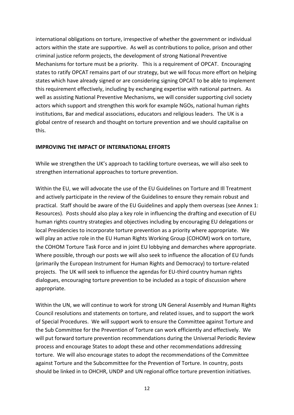international obligations on torture, irrespective of whether the government or individual actors within the state are supportive. As well as contributions to police, prison and other criminal justice reform projects, the development of strong National Preventive Mechanisms for torture must be a priority. This is a requirement of OPCAT. Encouraging states to ratify OPCAT remains part of our strategy, but we will focus more effort on helping states which have already signed or are considering signing OPCAT to be able to implement this requirement effectively, including by exchanging expertise with national partners. As well as assisting National Preventive Mechanisms, we will consider supporting civil society actors which support and strengthen this work for example NGOs, national human rights institutions, Bar and medical associations, educators and religious leaders. The UK is a global centre of research and thought on torture prevention and we should capitalise on this.

#### **IMPROVING THE IMPACT OF INTERNATIONAL EFFORTS**

While we strengthen the UK's approach to tackling torture overseas, we will also seek to strengthen international approaches to torture prevention.

Within the EU, we will advocate the use of the EU Guidelines on Torture and Ill Treatment and actively participate in the review of the Guidelines to ensure they remain robust and practical. Staff should be aware of the EU Guidelines and apply them overseas (see Annex 1: Resources). Posts should also play a key role in influencing the drafting and execution of EU human rights country strategies and objectives including by encouraging EU delegations or local Presidencies to incorporate torture prevention as a priority where appropriate. We will play an active role in the EU Human Rights Working Group (COHOM) work on torture, the COHOM Torture Task Force and in joint EU lobbying and demarches where appropriate. Where possible, through our posts we will also seek to influence the allocation of EU funds (primarily the European Instrument for Human Rights and Democracy) to torture-related projects. The UK will seek to influence the agendas for EU-third country human rights dialogues, encouraging torture prevention to be included as a topic of discussion where appropriate.

Within the UN, we will continue to work for strong UN General Assembly and Human Rights Council resolutions and statements on torture, and related issues, and to support the work of Special Procedures. We will support work to ensure the Committee against Torture and the Sub Committee for the Prevention of Torture can work efficiently and effectively. We will put forward torture prevention recommendations during the Universal Periodic Review process and encourage States to adopt these and other recommendations addressing torture. We will also encourage states to adopt the recommendations of the Committee against Torture and the Subcommittee for the Prevention of Torture. In country, posts should be linked in to OHCHR, UNDP and UN regional office torture prevention initiatives.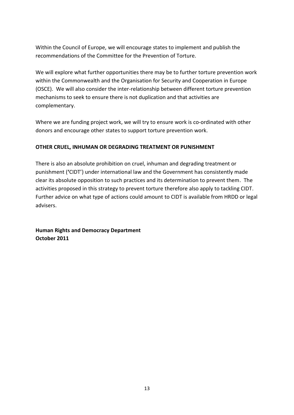Within the Council of Europe, we will encourage states to implement and publish the recommendations of the Committee for the Prevention of Torture.

We will explore what further opportunities there may be to further torture prevention work within the Commonwealth and the Organisation for Security and Cooperation in Europe (OSCE). We will also consider the inter-relationship between different torture prevention mechanisms to seek to ensure there is not duplication and that activities are complementary.

Where we are funding project work, we will try to ensure work is co-ordinated with other donors and encourage other states to support torture prevention work.

## **OTHER CRUEL, INHUMAN OR DEGRADING TREATMENT OR PUNISHMENT**

There is also an absolute prohibition on cruel, inhuman and degrading treatment or punishment (**'**CIDT') under international law and the Government has consistently made clear its absolute opposition to such practices and its determination to prevent them. The activities proposed in this strategy to prevent torture therefore also apply to tackling CIDT. Further advice on what type of actions could amount to CIDT is available from HRDD or legal advisers.

**Human Rights and Democracy Department October 2011**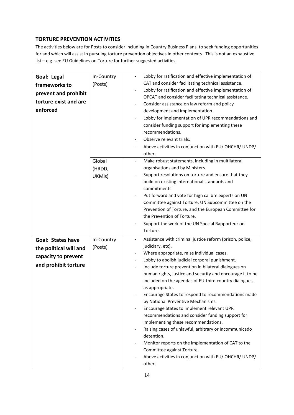### **TORTURE PREVENTION ACTIVITIES**

The activities below are for Posts to consider including in Country Business Plans, to seek funding opportunities for and which will assist in pursuing torture prevention objectives in other contexts. This is not an exhaustive list – e.g. see EU Guidelines on Torture for further suggested activities.

| Goal: Legal            | In-Country | $\overline{\phantom{a}}$ | Lobby for ratification and effective implementation of                                                              |
|------------------------|------------|--------------------------|---------------------------------------------------------------------------------------------------------------------|
| frameworks to          | (Posts)    |                          | CAT and consider facilitating technical assistance.                                                                 |
| prevent and prohibit   |            | $\overline{\phantom{a}}$ | Lobby for ratification and effective implementation of                                                              |
| torture exist and are  |            |                          | OPCAT and consider facilitating technical assistance.                                                               |
|                        |            | $\overline{\phantom{a}}$ | Consider assistance on law reform and policy                                                                        |
| enforced               |            |                          | development and implementation.                                                                                     |
|                        |            | $\overline{\phantom{a}}$ | Lobby for implementation of UPR recommendations and                                                                 |
|                        |            |                          | consider funding support for implementing these                                                                     |
|                        |            |                          | recommendations.                                                                                                    |
|                        |            |                          | Observe relevant trials.                                                                                            |
|                        |            |                          | Above activities in conjunction with EU/ OHCHR/ UNDP/                                                               |
|                        |            |                          | others.                                                                                                             |
|                        | Global     | $\overline{\phantom{a}}$ | Make robust statements, including in multilateral                                                                   |
|                        | (HRDD,     |                          | organisations and by Ministers.                                                                                     |
|                        | UKMis)     |                          | Support resolutions on torture and ensure that they                                                                 |
|                        |            |                          | build on existing international standards and                                                                       |
|                        |            |                          | commitments.                                                                                                        |
|                        |            |                          | Put forward and vote for high calibre experts on UN                                                                 |
|                        |            |                          | Committee against Torture, UN Subcommittee on the                                                                   |
|                        |            |                          | Prevention of Torture, and the European Committee for                                                               |
|                        |            |                          | the Prevention of Torture.                                                                                          |
|                        |            |                          | Support the work of the UN Special Rapporteur on                                                                    |
|                        |            |                          | Torture.                                                                                                            |
| Goal: States have      | In-Country | $\overline{\phantom{a}}$ | Assistance with criminal justice reform (prison, police,                                                            |
| the political will and | (Posts)    |                          | judiciary, etc).                                                                                                    |
| capacity to prevent    |            | $\overline{\phantom{a}}$ | Where appropriate, raise individual cases.                                                                          |
| and prohibit torture   |            | $\overline{\phantom{a}}$ | Lobby to abolish judicial corporal punishment.                                                                      |
|                        |            | $\overline{\phantom{a}}$ | Include torture prevention in bilateral dialogues on                                                                |
|                        |            |                          | human rights, justice and security and encourage it to be<br>included on the agendas of EU-third country dialogues, |
|                        |            |                          | as appropriate.                                                                                                     |
|                        |            |                          | Encourage States to respond to recommendations made                                                                 |
|                        |            |                          | by National Preventive Mechanisms.                                                                                  |
|                        |            |                          | Encourage States to implement relevant UPR                                                                          |
|                        |            |                          | recommendations and consider funding support for                                                                    |
|                        |            |                          | implementing these recommendations.                                                                                 |
|                        |            |                          | Raising cases of unlawful, arbitrary or incommunicado                                                               |
|                        |            |                          | detention.                                                                                                          |
|                        |            |                          | Monitor reports on the implementation of CAT to the                                                                 |
|                        |            |                          | Committee against Torture.                                                                                          |
|                        |            |                          | Above activities in conjunction with EU/ OHCHR/ UNDP/                                                               |
|                        |            |                          | others.                                                                                                             |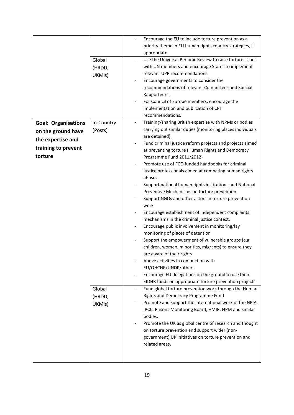|                            |            |                          | Encourage the EU to include torture prevention as a                                                              |
|----------------------------|------------|--------------------------|------------------------------------------------------------------------------------------------------------------|
|                            |            |                          | priority theme in EU human rights country strategies, if                                                         |
|                            |            |                          | appropriate.                                                                                                     |
|                            | Global     | $\overline{\phantom{0}}$ | Use the Universal Periodic Review to raise torture issues                                                        |
|                            | (HRDD,     |                          | with UN members and encourage States to implement                                                                |
|                            | UKMis)     |                          | relevant UPR recommendations.                                                                                    |
|                            |            |                          | Encourage governments to consider the                                                                            |
|                            |            |                          | recommendations of relevant Committees and Special                                                               |
|                            |            |                          | Rapporteurs.                                                                                                     |
|                            |            |                          | For Council of Europe members, encourage the                                                                     |
|                            |            |                          | implementation and publication of CPT                                                                            |
|                            |            |                          | recommendations.                                                                                                 |
| <b>Goal: Organisations</b> | In-Country | $\overline{\phantom{0}}$ | Training/sharing British expertise with NPMs or bodies                                                           |
| on the ground have         | (Posts)    |                          | carrying out similar duties (monitoring places individuals                                                       |
|                            |            |                          | are detained).                                                                                                   |
| the expertise and          |            |                          | Fund criminal justice reform projects and projects aimed                                                         |
| training to prevent        |            |                          | at preventing torture (Human Rights and Democracy                                                                |
| torture                    |            |                          | Programme Fund 2011/2012)                                                                                        |
|                            |            |                          | Promote use of FCO funded handbooks for criminal                                                                 |
|                            |            |                          | justice professionals aimed at combating human rights                                                            |
|                            |            |                          | abuses.                                                                                                          |
|                            |            |                          | Support national human rights institutions and National                                                          |
|                            |            |                          | Preventive Mechanisms on torture prevention.                                                                     |
|                            |            | -                        | Support NGOs and other actors in torture prevention                                                              |
|                            |            |                          | work.                                                                                                            |
|                            |            |                          | Encourage establishment of independent complaints                                                                |
|                            |            |                          | mechanisms in the criminal justice context.                                                                      |
|                            |            |                          | Encourage public involvement in monitoring/lay                                                                   |
|                            |            |                          | monitoring of places of detention                                                                                |
|                            |            |                          | Support the empowerment of vulnerable groups (e.g.                                                               |
|                            |            |                          | children, women, minorities, migrants) to ensure they                                                            |
|                            |            |                          | are aware of their rights.                                                                                       |
|                            |            |                          | Above activities in conjunction with                                                                             |
|                            |            |                          | EU/OHCHR/UNDP/others                                                                                             |
|                            |            |                          | Encourage EU delegations on the ground to use their                                                              |
|                            |            | $\overline{\phantom{a}}$ | EIDHR funds on appropriate torture prevention projects.<br>Fund global torture prevention work through the Human |
|                            | Global     |                          | Rights and Democracy Programme Fund                                                                              |
|                            | (HRDD,     |                          | Promote and support the international work of the NPIA,                                                          |
|                            | UKMis)     |                          | IPCC, Prisons Monitoring Board, HMIP, NPM and similar                                                            |
|                            |            |                          | bodies.                                                                                                          |
|                            |            |                          | Promote the UK as global centre of research and thought                                                          |
|                            |            |                          | on torture prevention and support wider (non-                                                                    |
|                            |            |                          | government) UK initiatives on torture prevention and                                                             |
|                            |            |                          | related areas.                                                                                                   |
|                            |            |                          |                                                                                                                  |
|                            |            |                          |                                                                                                                  |